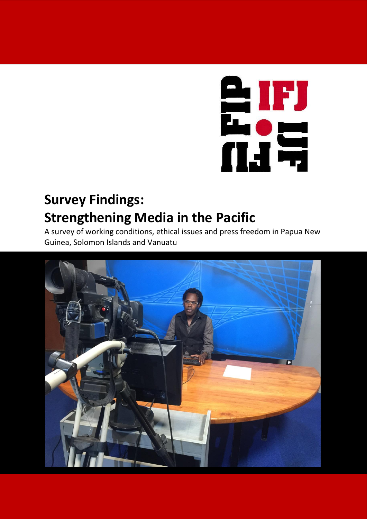

# **Survey Findings: Strengthening Media in the Pacific**

A survey of working conditions, ethical issues and press freedom in Papua New Guinea, Solomon Islands and Vanuatu

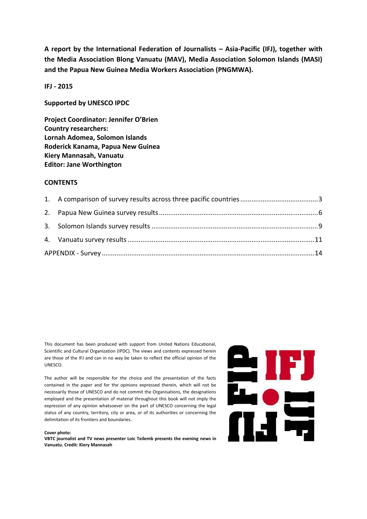**A report by the International Federation of Journalists – Asia-Pacific (IFJ), together with the Media Association Blong Vanuatu (MAV), Media Association Solomon Islands (MASI) and the Papua New Guinea Media Workers Association (PNGMWA).**

**IFJ - 2015**

**Supported by UNESCO IPDC**

**Project Coordinator: Jennifer O'Brien Country researchers: Lornah Adomea, Solomon Islands Roderick Kanama, Papua New Guinea Kiery Mannasah, Vanuatu Editor: Jane Worthington**

#### **CONTENTS**

This document has been produced with support from United Nations Educational, Scientific and Cultural Organization (IPDC). The views and contents expressed herein are those of the IFJ and can in no way be taken to reflect the official opinion of the UNESCO.

The author will be responsible for the choice and the presentation of the facts contained in the paper and for the opinions expressed therein, which will not be necessarily those of UNESCO and do not commit the Organisations, the designations employed and the presentation of material throughout this book will not imply the expression of any opinion whatsoever on the part of UNESCO concerning the legal status of any country, territory, city or area, or of its authorities or concerning the delimitation of its frontiers and boundaries.

#### **Cover photo:**

**VBTC journalist and TV news presenter Loic Teilemb presents the evening news in Vanuatu. Credit: Kiery Mannasah**

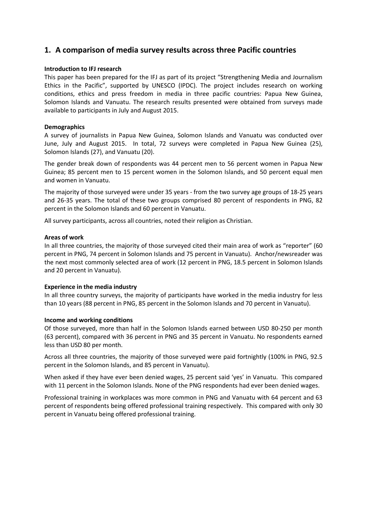# <span id="page-2-0"></span>**1. A comparison of media survey results across three Pacific countries**

#### **Introduction to IFJ research**

This paper has been prepared for the IFJ as part of its project "Strengthening Media and Journalism Ethics in the Pacific", supported by UNESCO (IPDC). The project includes research on working conditions, ethics and press freedom in media in three pacific countries: Papua New Guinea, Solomon Islands and Vanuatu. The research results presented were obtained from surveys made available to participants in July and August 2015.

#### **Demographics**

A survey of journalists in Papua New Guinea, Solomon Islands and Vanuatu was conducted over June, July and August 2015. In total, 72 surveys were completed in Papua New Guinea (25), Solomon Islands (27), and Vanuatu (20).

The gender break down of respondents was 44 percent men to 56 percent women in Papua New Guinea; 85 percent men to 15 percent women in the Solomon Islands, and 50 percent equal men and women in Vanuatu.

The majority of those surveyed were under 35 years - from the two survey age groups of 18-25 years and 26-35 years. The total of these two groups comprised 80 percent of respondents in PNG, 82 percent in the Solomon Islands and 60 percent in Vanuatu.

All survey participants, across all countries, noted their religion as Christian.

#### **Areas of work**

In all three countries, the majority of those surveyed cited their main area of work as "reporter" (60 percent in PNG, 74 percent in Solomon Islands and 75 percent in Vanuatu). Anchor/newsreader was the next most commonly selected area of work (12 percent in PNG, 18.5 percent in Solomon Islands and 20 percent in Vanuatu).

#### **Experience in the media industry**

In all three country surveys, the majority of participants have worked in the media industry for less than 10 years (88 percent in PNG, 85 percent in the Solomon Islands and 70 percent in Vanuatu).

#### **Income and working conditions**

Of those surveyed, more than half in the Solomon Islands earned between USD 80-250 per month (63 percent), compared with 36 percent in PNG and 35 percent in Vanuatu. No respondents earned less than USD 80 per month.

Across all three countries, the majority of those surveyed were paid fortnightly (100% in PNG, 92.5 percent in the Solomon Islands, and 85 percent in Vanuatu).

When asked if they have ever been denied wages, 25 percent said 'yes' in Vanuatu. This compared with 11 percent in the Solomon Islands. None of the PNG respondents had ever been denied wages.

Professional training in workplaces was more common in PNG and Vanuatu with 64 percent and 63 percent of respondents being offered professional training respectively. This compared with only 30 percent in Vanuatu being offered professional training.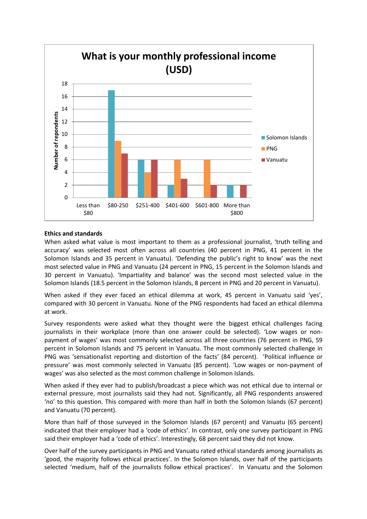

#### **Ethics and standards**

When asked what value is most important to them as a professional journalist, 'truth telling and accuracy' was selected most often across all countries (40 percent in PNG, 41 percent in the Solomon Islands and 35 percent in Vanuatu). 'Defending the public's right to know' was the next most selected value in PNG and Vanuatu (24 percent in PNG, 15 percent in the Solomon Islands and 30 percent in Vanuatu). 'Impartiality and balance' was the second most selected value in the Solomon Islands (18.5 percent in the Solomon Islands, 8 percent in PNG and 20 percent in Vanuatu).

When asked if they ever faced an ethical dilemma at work, 45 percent in Vanuatu said 'yes', compared with 30 percent in Vanuatu. None of the PNG respondents had faced an ethical dilemma at work.

Survey respondents were asked what they thought were the biggest ethical challenges facing journalists in their workplace (more than one answer could be selected). 'Low wages or nonpayment of wages' was most commonly selected across all three countries (76 percent in PNG, 59 percent in Solomon Islands and 75 percent in Vanuatu. The most commonly selected challenge in PNG was 'sensationalist reporting and distortion of the facts' (84 percent). 'Political influence or pressure' was most commonly selected in Vanuatu (85 percent). 'Low wages or non-payment of wages' was also selected as the most common challenge in Solomon Islands.

When asked if they ever had to publish/broadcast a piece which was not ethical due to internal or external pressure, most journalists said they had not. Significantly, all PNG respondents answered 'no' to this question. This compared with more than half in both the Solomon Islands (67 percent) and Vanuatu (70 percent).

More than half of those surveyed in the Solomon Islands (67 percent) and Vanuatu (65 percent) indicated that their employer had a 'code of ethics'. In contrast, only one survey participant in PNG said their employer had a 'code of ethics'. Interestingly, 68 percent said they did not know.

Over half of the survey participants in PNG and Vanuatu rated ethical standards among journalists as 'good, the majority follows ethical practices'. In the Solomon Islands, over half of the participants selected 'medium, half of the journalists follow ethical practices'. In Vanuatu and the Solomon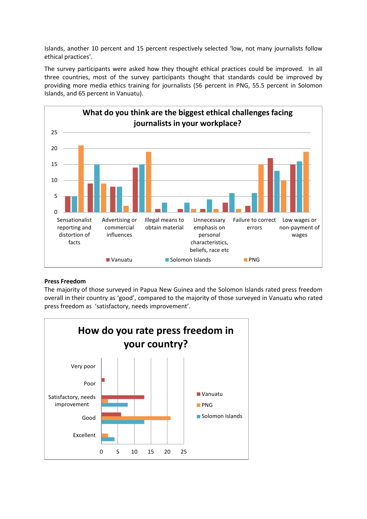Islands, another 10 percent and 15 percent respectively selected 'low, not many journalists follow ethical practices'.

The survey participants were asked how they thought ethical practices could be improved. In all three countries, most of the survey participants thought that standards could be improved by providing more media ethics training for journalists (56 percent in PNG, 55.5 percent in Solomon Islands, and 65 percent in Vanuatu).



# **Press Freedom**

The majority of those surveyed in Papua New Guinea and the Solomon Islands rated press freedom overall in their country as 'good', compared to the majority of those surveyed in Vanuatu who rated press freedom as 'satisfactory, needs improvement'.

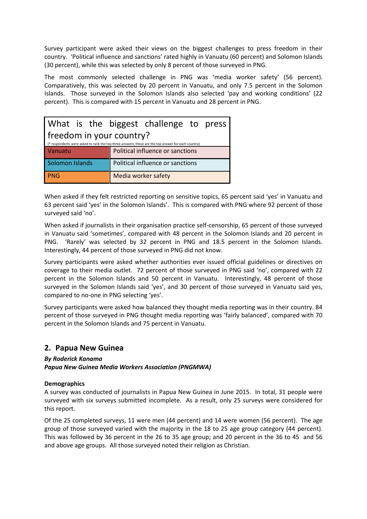Survey participant were asked their views on the biggest challenges to press freedom in their country. 'Political influence and sanctions' rated highly in Vanuatu (60 percent) and Solomon Islands (30 percent), while this was selected by only 8 percent of those surveyed in PNG.

The most commonly selected challenge in PNG was 'media worker safety' (56 percent). Comparatively, this was selected by 20 percent in Vanuatu, and only 7.5 percent in the Solomon Islands. Those surveyed in the Solomon Islands also selected 'pay and working conditions' (22 percent). This is compared with 15 percent in Vanuatu and 28 percent in PNG.

| What is the biggest challenge to press                                                                                          |                                  |  |  |  |  |  |  |
|---------------------------------------------------------------------------------------------------------------------------------|----------------------------------|--|--|--|--|--|--|
| freedom in your country?<br>(* respondents were asked to rank the top three answers, these are the top answer for each country) |                                  |  |  |  |  |  |  |
| Vanuatu                                                                                                                         | Political influence or sanctions |  |  |  |  |  |  |
| Solomon Islands                                                                                                                 | Political influence or sanctions |  |  |  |  |  |  |
| <b>PNG</b>                                                                                                                      | Media worker safety              |  |  |  |  |  |  |

When asked if they felt restricted reporting on sensitive topics, 65 percent said 'yes' in Vanuatu and 63 percent said 'yes' in the Solomon Islands'. This is compared with PNG where 92 percent of those surveyed said 'no'.

When asked if journalists in their organisation practice self-censorship, 65 percent of those surveyed in Vanuatu said 'sometimes', compared with 48 percent in the Solomon Islands and 20 percent in PNG. 'Rarely' was selected by 32 percent in PNG and 18.5 percent in the Solomon Islands. Interestingly, 44 percent of those surveyed in PNG did not know.

Survey participants were asked whether authorities ever issued official guidelines or directives on coverage to their media outlet. 72 percent of those surveyed in PNG said 'no', compared with 22 percent in the Solomon Islands and 50 percent in Vanuatu. Interestingly, 48 percent of those surveyed in the Solomon Islands said 'yes', and 30 percent of those surveyed in Vanuatu said yes, compared to no-one in PNG selecting 'yes'.

Survey participants were asked how balanced they thought media reporting was in their country. 84 percent of those surveyed in PNG thought media reporting was 'fairly balanced', compared with 70 percent in the Solomon Islands and 75 percent in Vanuatu.

# <span id="page-5-0"></span>**2. Papua New Guinea**

# *By Roderick Kanama*

*Papua New Guinea Media Workers Association (PNGMWA)*

# **Demographics**

A survey was conducted of journalists in Papua New Guinea in June 2015. In total, 31 people were surveyed with six surveys submitted incomplete. As a result, only 25 surveys were considered for this report.

Of the 25 completed surveys, 11 were men (44 percent) and 14 were women (56 percent). The age group of those surveyed varied with the majority in the 18 to 25 age group category (44 percent). This was followed by 36 percent in the 26 to 35 age group; and 20 percent in the 36 to 45 and 56 and above age groups. All those surveyed noted their religion as Christian.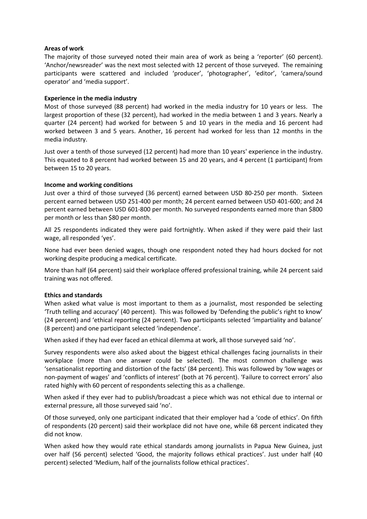#### **Areas of work**

The majority of those surveyed noted their main area of work as being a 'reporter' (60 percent). 'Anchor/newsreader' was the next most selected with 12 percent of those surveyed. The remaining participants were scattered and included 'producer', 'photographer', 'editor', 'camera/sound operator' and 'media support'.

#### **Experience in the media industry**

Most of those surveyed (88 percent) had worked in the media industry for 10 years or less. The largest proportion of these (32 percent), had worked in the media between 1 and 3 years. Nearly a quarter (24 percent) had worked for between 5 and 10 years in the media and 16 percent had worked between 3 and 5 years. Another, 16 percent had worked for less than 12 months in the media industry.

Just over a tenth of those surveyed (12 percent) had more than 10 years' experience in the industry. This equated to 8 percent had worked between 15 and 20 years, and 4 percent (1 participant) from between 15 to 20 years.

#### **Income and working conditions**

Just over a third of those surveyed (36 percent) earned between USD 80-250 per month. Sixteen percent earned between USD 251-400 per month; 24 percent earned between USD 401-600; and 24 percent earned between USD 601-800 per month. No surveyed respondents earned more than \$800 per month or less than \$80 per month.

All 25 respondents indicated they were paid fortnightly. When asked if they were paid their last wage, all responded 'yes'.

None had ever been denied wages, though one respondent noted they had hours docked for not working despite producing a medical certificate.

More than half (64 percent) said their workplace offered professional training, while 24 percent said training was not offered.

#### **Ethics and standards**

When asked what value is most important to them as a journalist, most responded be selecting 'Truth telling and accuracy' (40 percent). This was followed by 'Defending the public's right to know' (24 percent) and 'ethical reporting (24 percent). Two participants selected 'impartiality and balance' (8 percent) and one participant selected 'independence'.

When asked if they had ever faced an ethical dilemma at work, all those surveyed said 'no'.

Survey respondents were also asked about the biggest ethical challenges facing journalists in their workplace (more than one answer could be selected). The most common challenge was 'sensationalist reporting and distortion of the facts' (84 percent). This was followed by 'low wages or non-payment of wages' and 'conflicts of interest' (both at 76 percent). 'Failure to correct errors' also rated highly with 60 percent of respondents selecting this as a challenge.

When asked if they ever had to publish/broadcast a piece which was not ethical due to internal or external pressure, all those surveyed said 'no'.

Of those surveyed, only one participant indicated that their employer had a 'code of ethics'. On fifth of respondents (20 percent) said their workplace did not have one, while 68 percent indicated they did not know.

When asked how they would rate ethical standards among journalists in Papua New Guinea, just over half (56 percent) selected 'Good, the majority follows ethical practices'. Just under half (40 percent) selected 'Medium, half of the journalists follow ethical practices'.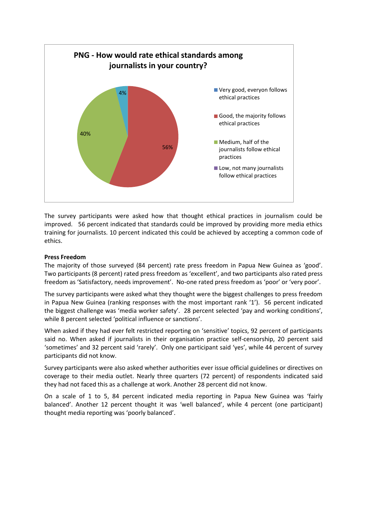

The survey participants were asked how that thought ethical practices in journalism could be improved. 56 percent indicated that standards could be improved by providing more media ethics training for journalists. 10 percent indicated this could be achieved by accepting a common code of ethics.

### **Press Freedom**

The majority of those surveyed (84 percent) rate press freedom in Papua New Guinea as 'good'. Two participants (8 percent) rated press freedom as 'excellent', and two participants also rated press freedom as 'Satisfactory, needs improvement'. No-one rated press freedom as 'poor' or 'very poor'.

The survey participants were asked what they thought were the biggest challenges to press freedom in Papua New Guinea (ranking responses with the most important rank '1'). 56 percent indicated the biggest challenge was 'media worker safety'. 28 percent selected 'pay and working conditions', while 8 percent selected 'political influence or sanctions'.

When asked if they had ever felt restricted reporting on 'sensitive' topics, 92 percent of participants said no. When asked if journalists in their organisation practice self-censorship, 20 percent said 'sometimes' and 32 percent said 'rarely'. Only one participant said 'yes', while 44 percent of survey participants did not know.

Survey participants were also asked whether authorities ever issue official guidelines or directives on coverage to their media outlet. Nearly three quarters (72 percent) of respondents indicated said they had not faced this as a challenge at work. Another 28 percent did not know.

On a scale of 1 to 5, 84 percent indicated media reporting in Papua New Guinea was 'fairly balanced'. Another 12 percent thought it was 'well balanced', while 4 percent (one participant) thought media reporting was 'poorly balanced'.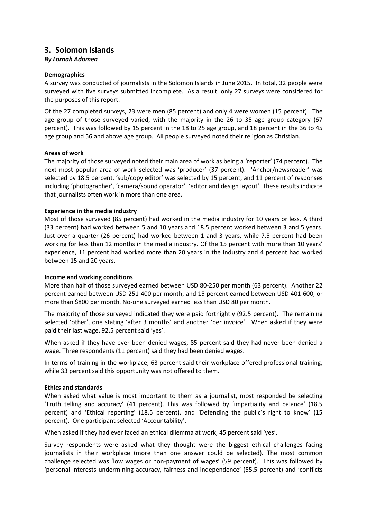# <span id="page-8-0"></span>**3. Solomon Islands**

### *By Lornah Adomea*

#### **Demographics**

A survey was conducted of journalists in the Solomon Islands in June 2015. In total, 32 people were surveyed with five surveys submitted incomplete. As a result, only 27 surveys were considered for the purposes of this report.

Of the 27 completed surveys, 23 were men (85 percent) and only 4 were women (15 percent). The age group of those surveyed varied, with the majority in the 26 to 35 age group category (67 percent). This was followed by 15 percent in the 18 to 25 age group, and 18 percent in the 36 to 45 age group and 56 and above age group. All people surveyed noted their religion as Christian.

#### **Areas of work**

The majority of those surveyed noted their main area of work as being a 'reporter' (74 percent). The next most popular area of work selected was 'producer' (37 percent). 'Anchor/newsreader' was selected by 18.5 percent, 'sub/copy editor' was selected by 15 percent, and 11 percent of responses including 'photographer', 'camera/sound operator', 'editor and design layout'. These results indicate that journalists often work in more than one area.

#### **Experience in the media industry**

Most of those surveyed (85 percent) had worked in the media industry for 10 years or less. A third (33 percent) had worked between 5 and 10 years and 18.5 percent worked between 3 and 5 years. Just over a quarter (26 percent) had worked between 1 and 3 years, while 7.5 percent had been working for less than 12 months in the media industry. Of the 15 percent with more than 10 years' experience, 11 percent had worked more than 20 years in the industry and 4 percent had worked between 15 and 20 years.

#### **Income and working conditions**

More than half of those surveyed earned between USD 80-250 per month (63 percent). Another 22 percent earned between USD 251-400 per month, and 15 percent earned between USD 401-600, or more than \$800 per month. No-one surveyed earned less than USD 80 per month.

The majority of those surveyed indicated they were paid fortnightly (92.5 percent). The remaining selected 'other', one stating 'after 3 months' and another 'per invoice'. When asked if they were paid their last wage, 92.5 percent said 'yes'.

When asked if they have ever been denied wages, 85 percent said they had never been denied a wage. Three respondents (11 percent) said they had been denied wages.

In terms of training in the workplace, 63 percent said their workplace offered professional training, while 33 percent said this opportunity was not offered to them.

#### **Ethics and standards**

When asked what value is most important to them as a journalist, most responded be selecting 'Truth telling and accuracy' (41 percent). This was followed by 'impartiality and balance' (18.5 percent) and 'Ethical reporting' (18.5 percent), and 'Defending the public's right to know' (15 percent). One participant selected 'Accountability'.

When asked if they had ever faced an ethical dilemma at work, 45 percent said 'yes'.

Survey respondents were asked what they thought were the biggest ethical challenges facing journalists in their workplace (more than one answer could be selected). The most common challenge selected was 'low wages or non-payment of wages' (59 percent). This was followed by 'personal interests undermining accuracy, fairness and independence' (55.5 percent) and 'conflicts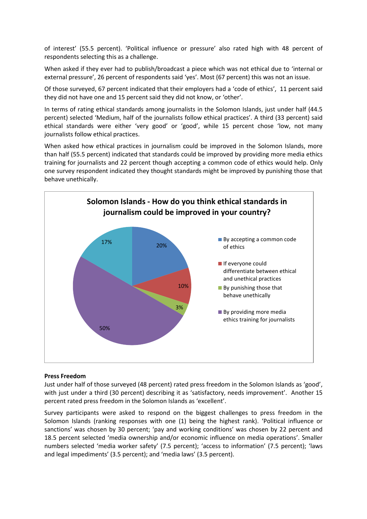of interest' (55.5 percent). 'Political influence or pressure' also rated high with 48 percent of respondents selecting this as a challenge.

When asked if they ever had to publish/broadcast a piece which was not ethical due to 'internal or external pressure', 26 percent of respondents said 'yes'. Most (67 percent) this was not an issue.

Of those surveyed, 67 percent indicated that their employers had a 'code of ethics', 11 percent said they did not have one and 15 percent said they did not know, or 'other'.

In terms of rating ethical standards among journalists in the Solomon Islands, just under half (44.5 percent) selected 'Medium, half of the journalists follow ethical practices'. A third (33 percent) said ethical standards were either 'very good' or 'good', while 15 percent chose 'low, not many journalists follow ethical practices.

When asked how ethical practices in journalism could be improved in the Solomon Islands, more than half (55.5 percent) indicated that standards could be improved by providing more media ethics training for journalists and 22 percent though accepting a common code of ethics would help. Only one survey respondent indicated they thought standards might be improved by punishing those that behave unethically.



#### **Press Freedom**

Just under half of those surveyed (48 percent) rated press freedom in the Solomon Islands as 'good', with just under a third (30 percent) describing it as 'satisfactory, needs improvement'. Another 15 percent rated press freedom in the Solomon Islands as 'excellent'.

Survey participants were asked to respond on the biggest challenges to press freedom in the Solomon Islands (ranking responses with one (1) being the highest rank). 'Political influence or sanctions' was chosen by 30 percent; 'pay and working conditions' was chosen by 22 percent and 18.5 percent selected 'media ownership and/or economic influence on media operations'. Smaller numbers selected 'media worker safety' (7.5 percent); 'access to information' (7.5 percent); 'laws and legal impediments' (3.5 percent); and 'media laws' (3.5 percent).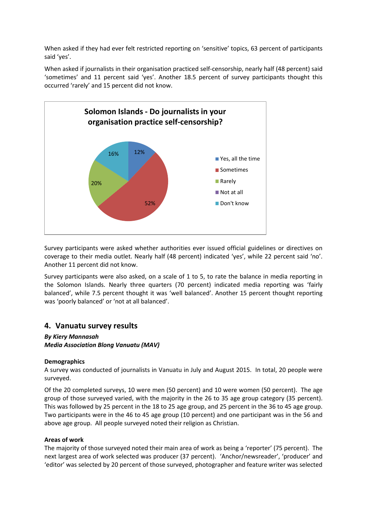When asked if they had ever felt restricted reporting on 'sensitive' topics, 63 percent of participants said 'yes'.

When asked if journalists in their organisation practiced self-censorship, nearly half (48 percent) said 'sometimes' and 11 percent said 'yes'. Another 18.5 percent of survey participants thought this occurred 'rarely' and 15 percent did not know.



Survey participants were asked whether authorities ever issued official guidelines or directives on coverage to their media outlet. Nearly half (48 percent) indicated 'yes', while 22 percent said 'no'. Another 11 percent did not know.

Survey participants were also asked, on a scale of 1 to 5, to rate the balance in media reporting in the Solomon Islands. Nearly three quarters (70 percent) indicated media reporting was 'fairly balanced', while 7.5 percent thought it was 'well balanced'. Another 15 percent thought reporting was 'poorly balanced' or 'not at all balanced'.

# <span id="page-10-0"></span>**4. Vanuatu survey results**

### *By Kiery Mannasah Media Association Blong Vanuatu (MAV)*

#### **Demographics**

A survey was conducted of journalists in Vanuatu in July and August 2015. In total, 20 people were surveyed.

Of the 20 completed surveys, 10 were men (50 percent) and 10 were women (50 percent). The age group of those surveyed varied, with the majority in the 26 to 35 age group category (35 percent). This was followed by 25 percent in the 18 to 25 age group, and 25 percent in the 36 to 45 age group. Two participants were in the 46 to 45 age group (10 percent) and one participant was in the 56 and above age group. All people surveyed noted their religion as Christian.

#### **Areas of work**

The majority of those surveyed noted their main area of work as being a 'reporter' (75 percent). The next largest area of work selected was producer (37 percent). 'Anchor/newsreader', 'producer' and 'editor' was selected by 20 percent of those surveyed, photographer and feature writer was selected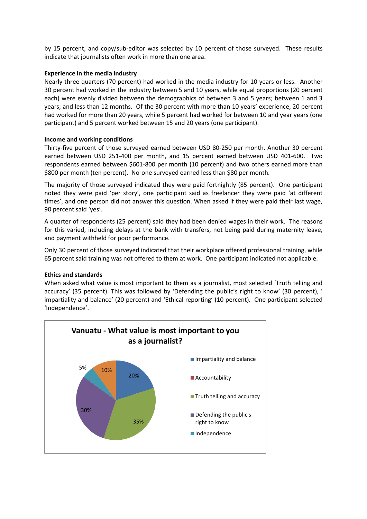by 15 percent, and copy/sub-editor was selected by 10 percent of those surveyed. These results indicate that journalists often work in more than one area.

### **Experience in the media industry**

Nearly three quarters (70 percent) had worked in the media industry for 10 years or less. Another 30 percent had worked in the industry between 5 and 10 years, while equal proportions (20 percent each) were evenly divided between the demographics of between 3 and 5 years; between 1 and 3 years; and less than 12 months. Of the 30 percent with more than 10 years' experience, 20 percent had worked for more than 20 years, while 5 percent had worked for between 10 and year years (one participant) and 5 percent worked between 15 and 20 years (one participant).

### **Income and working conditions**

Thirty-five percent of those surveyed earned between USD 80-250 per month. Another 30 percent earned between USD 251-400 per month, and 15 percent earned between USD 401-600. Two respondents earned between \$601-800 per month (10 percent) and two others earned more than \$800 per month (ten percent). No-one surveyed earned less than \$80 per month.

The majority of those surveyed indicated they were paid fortnightly (85 percent). One participant noted they were paid 'per story', one participant said as freelancer they were paid 'at different times', and one person did not answer this question. When asked if they were paid their last wage, 90 percent said 'yes'.

A quarter of respondents (25 percent) said they had been denied wages in their work. The reasons for this varied, including delays at the bank with transfers, not being paid during maternity leave, and payment withheld for poor performance.

Only 30 percent of those surveyed indicated that their workplace offered professional training, while 65 percent said training was not offered to them at work. One participant indicated not applicable.

#### **Ethics and standards**

When asked what value is most important to them as a journalist, most selected 'Truth telling and accuracy' (35 percent). This was followed by 'Defending the public's right to know' (30 percent), ' impartiality and balance' (20 percent) and 'Ethical reporting' (10 percent). One participant selected 'Independence'.

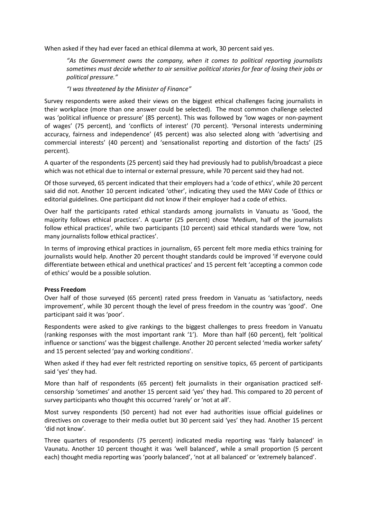When asked if they had ever faced an ethical dilemma at work, 30 percent said yes.

*"As the Government owns the company, when it comes to political reporting journalists sometimes must decide whether to air sensitive political stories for fear of losing their jobs or political pressure."*

### *"I was threatened by the Minister of Finance"*

Survey respondents were asked their views on the biggest ethical challenges facing journalists in their workplace (more than one answer could be selected). The most common challenge selected was 'political influence or pressure' (85 percent). This was followed by 'low wages or non-payment of wages' (75 percent), and 'conflicts of interest' (70 percent). 'Personal interests undermining accuracy, fairness and independence' (45 percent) was also selected along with 'advertising and commercial interests' (40 percent) and 'sensationalist reporting and distortion of the facts' (25 percent).

A quarter of the respondents (25 percent) said they had previously had to publish/broadcast a piece which was not ethical due to internal or external pressure, while 70 percent said they had not.

Of those surveyed, 65 percent indicated that their employers had a 'code of ethics', while 20 percent said did not. Another 10 percent indicated 'other', indicating they used the MAV Code of Ethics or editorial guidelines. One participant did not know if their employer had a code of ethics.

Over half the participants rated ethical standards among journalists in Vanuatu as 'Good, the majority follows ethical practices'. A quarter (25 percent) chose 'Medium, half of the journalists follow ethical practices', while two participants (10 percent) said ethical standards were 'low, not many journalists follow ethical practices'.

In terms of improving ethical practices in journalism, 65 percent felt more media ethics training for journalists would help. Another 20 percent thought standards could be improved 'if everyone could differentiate between ethical and unethical practices' and 15 percent felt 'accepting a common code of ethics' would be a possible solution.

#### **Press Freedom**

Over half of those surveyed (65 percent) rated press freedom in Vanuatu as 'satisfactory, needs improvement', while 30 percent though the level of press freedom in the country was 'good'. One participant said it was 'poor'.

Respondents were asked to give rankings to the biggest challenges to press freedom in Vanuatu (ranking responses with the most important rank '1'). More than half (60 percent), felt 'political influence or sanctions' was the biggest challenge. Another 20 percent selected 'media worker safety' and 15 percent selected 'pay and working conditions'.

When asked if they had ever felt restricted reporting on sensitive topics, 65 percent of participants said 'yes' they had.

More than half of respondents (65 percent) felt journalists in their organisation practiced selfcensorship 'sometimes' and another 15 percent said 'yes' they had. This compared to 20 percent of survey participants who thought this occurred 'rarely' or 'not at all'.

Most survey respondents (50 percent) had not ever had authorities issue official guidelines or directives on coverage to their media outlet but 30 percent said 'yes' they had. Another 15 percent 'did not know'.

Three quarters of respondents (75 percent) indicated media reporting was 'fairly balanced' in Vaunatu. Another 10 percent thought it was 'well balanced', while a small proportion (5 percent each) thought media reporting was 'poorly balanced', 'not at all balanced' or 'extremely balanced'.